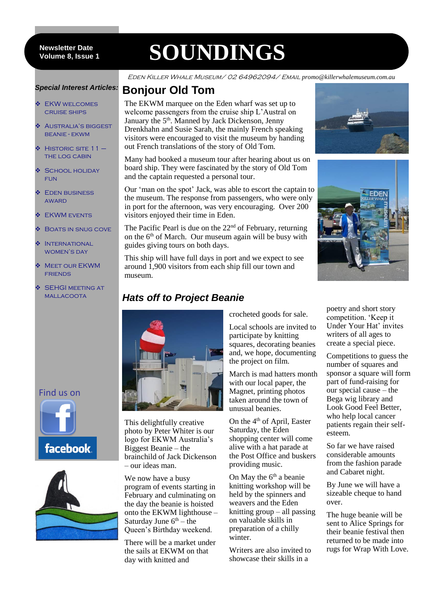8 **Volume 8, Issue 1 Newsletter Date**

# **SOUNDINGS**

Eden Killer Whale Museum/ 02 64962094/ Email *promo@killerwhalemuseum.com.au*

#### *Special Interest Articles:*

- **❖ EKW WELCOMES** cruise ships
- Australia's biggest beanie - ekwm
- $\div$  Historic site 11 the log cabin
- SCHOOL HOLIDAY **FUN**
- **❖** EDEN BUSINESS **AWARD**
- **❖** EKWM EVENTS
- **❖ BOATS IN SNUG COVE**
- **MINTERNATIONAL** WOMEN'S DAY
- **MEET OUR EKWM FRIENDS**
- SEHGI MEETING AT mallacoota





# **Bonjour Old Tom**

The EKWM marquee on the Eden wharf was set up to welcome passengers from the cruise ship L'Austral on January the 5<sup>th</sup>. Manned by Jack Dickenson, Jenny Drenkhahn and Susie Sarah, the mainly French speaking visitors were encouraged to visit the museum by handing out French translations of the story of Old Tom.

Many had booked a museum tour after hearing about us on board ship. They were fascinated by the story of Old Tom and the captain requested a personal tour.

Our 'man on the spot' Jack, was able to escort the captain to the museum. The response from passengers, who were only in port for the afternoon, was very encouraging. Over 200 visitors enjoyed their time in Eden.

The Pacific Pearl is due on the  $22<sup>nd</sup>$  of February, returning on the  $6<sup>th</sup>$  of March. Our museum again will be busy with guides giving tours on both days.

This ship will have full days in port and we expect to see around 1,900 visitors from each ship fill our town and museum.

#### *Hats off to Project Beanie*



This delightfully creative photo by Peter Whiter is our logo for EKWM Australia's Biggest Beanie – the brainchild of Jack Dickenson – our ideas man.

We now have a busy program of events starting in February and culminating on the day the beanie is hoisted onto the EKWM lighthouse – Saturday June  $6<sup>th</sup>$  – the Queen's Birthday weekend.

There will be a market under the sails at EKWM on that day with knitted and

crocheted goods for sale.

Local schools are invited to participate by knitting squares, decorating beanies and, we hope, documenting the project on film.

March is mad hatters month with our local paper, the Magnet, printing photos taken around the town of unusual beanies.

On the 4<sup>th</sup> of April, Easter Saturday, the Eden shopping center will come alive with a hat parade at the Post Office and buskers providing music.

On May the  $6<sup>th</sup>$  a beanie knitting workshop will be held by the spinners and weavers and the Eden knitting group – all passing on valuable skills in preparation of a chilly winter.

Writers are also invited to showcase their skills in a





poetry and short story competition. 'Keep it Under Your Hat' invites writers of all ages to create a special piece.

Competitions to guess the number of squares and sponsor a square will form part of fund-raising for our special cause – the Bega wig library and Look Good Feel Better, who help local cancer patients regain their selfesteem.

So far we have raised considerable amounts from the fashion parade and Cabaret night.

By June we will have a sizeable cheque to hand over.

The huge beanie will be sent to Alice Springs for their beanie festival then returned to be made into rugs for Wrap With Love.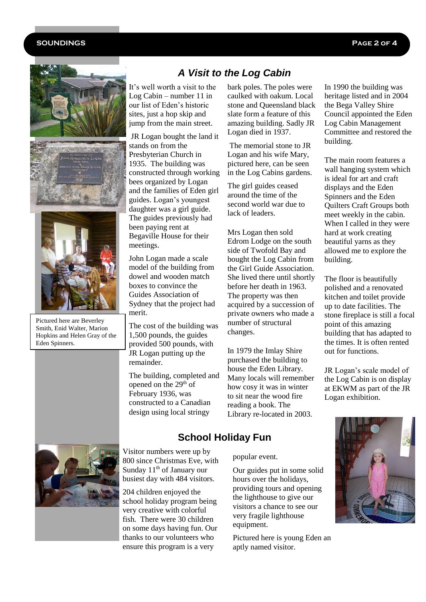#### **SOUNDINGS Page 2 of 4**







Pictured here are Beverley Smith, Enid Walter, Marion Hopkins and Helen Gray of the Eden Spinners.

#### *A Visit to the Log Cabin*

It's well worth a visit to the Log Cabin – number 11 in our list of Eden's historic sites, just a hop skip and jump from the main street.

JR Logan bought the land it stands on from the Presbyterian Church in 1935. The building was constructed through working bees organized by Logan and the families of Eden girl guides. Logan's youngest daughter was a girl guide. The guides previously had been paying rent at Begaville House for their meetings.

John Logan made a scale model of the building from dowel and wooden match boxes to convince the Guides Association of Sydney that the project had merit.

The cost of the building was 1,500 pounds, the guides provided 500 pounds, with JR Logan putting up the remainder.

The building, completed and opened on the 29<sup>th</sup> of February 1936, was constructed to a Canadian design using local stringy

bark poles. The poles were caulked with oakum. Local stone and Queensland black slate form a feature of this amazing building. Sadly JR Logan died in 1937.

The memorial stone to JR Logan and his wife Mary, pictured here, can be seen in the Log Cabins gardens.

The girl guides ceased around the time of the second world war due to lack of leaders.

Mrs Logan then sold Edrom Lodge on the south side of Twofold Bay and bought the Log Cabin from the Girl Guide Association. She lived there until shortly before her death in 1963. The property was then acquired by a succession of private owners who made a number of structural changes.

In 1979 the Imlay Shire purchased the building to house the Eden Library. Many locals will remember how cosy it was in winter to sit near the wood fire reading a book. The Library re-located in 2003.

In 1990 the building was heritage listed and in 2004 the Bega Valley Shire Council appointed the Eden Log Cabin Management Committee and restored the building.

The main room features a wall hanging system which is ideal for art and craft displays and the Eden Spinners and the Eden Quilters Craft Groups both meet weekly in the cabin. When I called in they were hard at work creating beautiful yarns as they allowed me to explore the building.

The floor is beautifully polished and a renovated kitchen and toilet provide up to date facilities. The stone fireplace is still a focal point of this amazing building that has adapted to the times. It is often rented out for functions.

JR Logan's scale model of the Log Cabin is on display at EKWM as part of the JR Logan exhibition.





Visitor numbers were up by 800 since Christmas Eve, with Sunday  $11<sup>th</sup>$  of January our busiest day with 484 visitors.

204 children enjoyed the school holiday program being very creative with colorful fish. There were 30 children on some days having fun. Our thanks to our volunteers who ensure this program is a very

popular event.

**School Holiday Fun**

Our guides put in some solid hours over the holidays, providing tours and opening the lighthouse to give our visitors a chance to see our very fragile lighthouse equipment.

Pictured here is young Eden an aptly named visitor.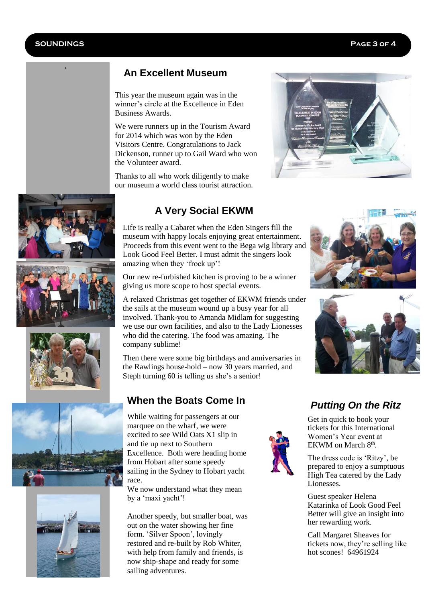,

#### **An Excellent Museum**

This year the museum again was in the winner's circle at the Excellence in Eden Business Awards.

We were runners up in the Tourism Award for 2014 which was won by the Eden Visitors Centre. Congratulations to Jack Dickenson, runner up to Gail Ward who won the Volunteer award.

Thanks to all who work diligently to make our museum a world class tourist attraction.













#### **A Very Social EKWM**

Life is really a Cabaret when the Eden Singers fill the museum with happy locals enjoying great entertainment. Proceeds from this event went to the Bega wig library and Look Good Feel Better. I must admit the singers look amazing when they 'frock up'!

Our new re-furbished kitchen is proving to be a winner giving us more scope to host special events.

A relaxed Christmas get together of EKWM friends under the sails at the museum wound up a busy year for all involved. Thank-you to Amanda Midlam for suggesting we use our own facilities, and also to the Lady Lionesses who did the catering. The food was amazing. The company sublime!

Then there were some big birthdays and anniversaries in the Rawlings house-hold – now 30 years married, and Steph turning 60 is telling us she's a senior!

#### **When the Boats Come In**

While waiting for passengers at our marquee on the wharf, we were excited to see Wild Oats X1 slip in and tie up next to Southern Excellence. Both were heading home from Hobart after some speedy sailing in the Sydney to Hobart yacht race.

We now understand what they mean by a 'maxi yacht'!

Another speedy, but smaller boat, was out on the water showing her fine form. 'Silver Spoon', lovingly restored and re-built by Rob Whiter, with help from family and friends, is now ship-shape and ready for some sailing adventures.







## *Putting On the Ritz*

Get in quick to book your tickets for this International Women's Year event at EKWM on March 8<sup>th</sup>.

The dress code is 'Ritzy', be prepared to enjoy a sumptuous High Tea catered by the Lady Lionesses.

Guest speaker Helena Katarinka of Look Good Feel Better will give an insight into her rewarding work.

Call Margaret Sheaves for tickets now, they're selling like hot scones! 64961924